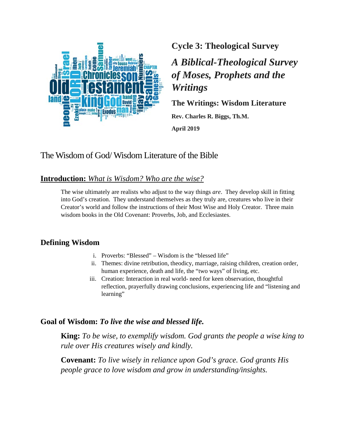

**Cycle 3: Theological Survey**

*A Biblical-Theological Survey of Moses, Prophets and the Writings*

**The Writings: Wisdom Literature**

**Rev. Charles R. Biggs, Th.M. April 2019**

# The Wisdom of God/ Wisdom Literature of the Bible

## **Introduction:** *What is Wisdom? Who are the wise?*

The wise ultimately are realists who adjust to the way things *are*. They develop skill in fitting into God's creation. They understand themselves as they truly are, creatures who live in their Creator's world and follow the instructions of their Most Wise and Holy Creator. Three main wisdom books in the Old Covenant: Proverbs, Job, and Ecclesiastes.

## **Defining Wisdom**

- i. Proverbs: "Blessed" Wisdom is the "blessed life"
- ii. Themes: divine retribution, theodicy, marriage, raising children, creation order, human experience, death and life, the "two ways" of living, etc.
- iii. Creation: Interaction in real world- need for keen observation, thoughtful reflection, prayerfully drawing conclusions, experiencing life and "listening and learning"

## **Goal of Wisdom:** *To live the wise and blessed life.*

**King:** *To be wise, to exemplify wisdom. God grants the people a wise king to rule over His creatures wisely and kindly.*

**Covenant:** *To live wisely in reliance upon God's grace. God grants His people grace to love wisdom and grow in understanding/insights.*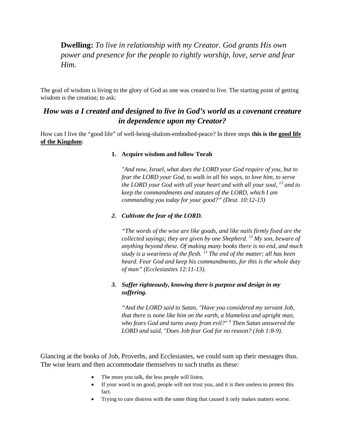**Dwelling:** *To live in relationship with my Creator. God grants His own power and presence for the people to rightly worship, love, serve and fear Him.*

The goal of wisdom is living to the glory of God as one was created to live. The starting point of getting wisdom is the creation; to ask:

## *How was a I created and designed to live in God's world as a covenant creature in dependence upon my Creator?*

How can I live the "good life" of well-being-shalom-embodied-peace? In three steps **this is the good life of the Kingdom**:

#### **1. Acquire wisdom and follow Torah**

*"And now, Israel, what does the LORD your God require of you, but to fear the LORD your God, to walk in all his ways, to love him, to serve the LORD your God with all your heart and with all your soul, <sup>13</sup> and to keep the commandments and statutes of the LORD, which I am commanding you today for your good?" (Deut. 10:12-13)*

#### *2. Cultivate the fear of the LORD.*

*"The words of the wise are like goads, and like nails firmly fixed are the collected sayings; they are given by one Shepherd. <sup>12</sup> My son, beware of anything beyond these. Of making many books there is no end, and much study is a weariness of the flesh. <sup>13</sup> The end of the matter; all has been heard. Fear God and keep his commandments, for this is the whole duty of man" (Ecclesiasties 12:11-13).*

### *3. Suffer righteously, knowing there is purpose and design in my suffering.*

*"And the LORD said to Satan, "Have you considered my servant Job, that there is none like him on the earth, a blameless and upright man, who fears God and turns away from evil?" <sup>9</sup> Then Satan answered the LORD and said, "Does Job fear God for no reason? (Job 1:8-9).*

Glancing at the books of Job, Proverbs, and Ecclesiastes, we could sum up their messages thus. The wise learn and then accommodate themselves to such truths as these:

- The more you talk, the less people will listen.
- If your word is no good, people will not trust you, and it is then useless to protest this fact.
- Trying to cure distress with the same thing that caused it only makes matters worse.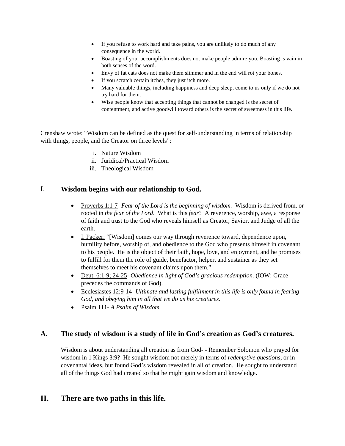- If you refuse to work hard and take pains, you are unlikely to do much of any consequence in the world.
- Boasting of your accomplishments does not make people admire you. Boasting is vain in both senses of the word.
- Envy of fat cats does not make them slimmer and in the end will rot your bones.
- If you scratch certain itches, they just itch more.
- Many valuable things, including happiness and deep sleep, come to us only if we do not try hard for them.
- Wise people know that accepting things that cannot be changed is the secret of contentment, and active goodwill toward others is the secret of sweetness in this life.

Crenshaw wrote: "Wisdom can be defined as the quest for self-understanding in terms of relationship with things, people, and the Creator on three levels":

- i. Nature Wisdom
- ii. Juridical/Practical Wisdom
- iii. Theological Wisdom

### I. **Wisdom begins with our relationship to God.**

- Proverbs 1:1-7- *Fear of the Lord is the beginning of wisdom*. Wisdom is derived from, or rooted in *the fear of the Lord*. What is this *fear*? A reverence, worship, awe, a response of faith and trust to the God who reveals himself as Creator, Savior, and Judge of all the earth.
- I. Packer: "[Wisdom] comes our way through reverence toward, dependence upon, humility before, worship of, and obedience to the God who presents himself in covenant to his people. He is the object of their faith, hope, love, and enjoyment, and he promises to fulfill for them the role of guide, benefactor, helper, and sustainer as they set themselves to meet his covenant claims upon them."
- Deut. 6:1-9; 24-25- *Obedience in light of God's gracious redemption.* (IOW: Grace precedes the commands of God).
- Ecclesiastes 12:9-14- *Ultimate and lasting fulfillment in this life is only found in fearing God, and obeying him in all that we do as his creatures.*
- Psalm 111- *A Psalm of Wisdom.*

### **A. The study of wisdom is a study of life in God's creation as God's creatures.**

Wisdom is about understanding all creation as from God- - Remember Solomon who prayed for wisdom in 1 Kings 3:9? He sought wisdom not merely in terms of *redemptive questions*, or in covenantal ideas, but found God's wisdom revealed in all of creation. He sought to understand all of the things God had created so that he might gain wisdom and knowledge.

### **II. There are two paths in this life.**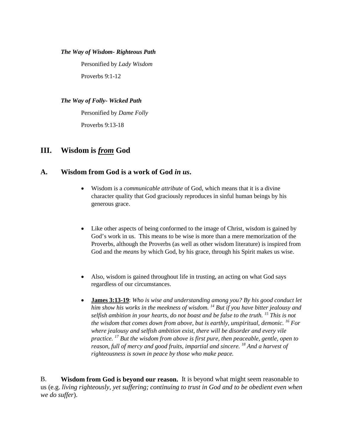#### *The Way of Wisdom- Righteous Path*

Personified by *Lady Wisdom* Proverbs 9:1-12

#### *The Way of Folly- Wicked Path*

Personified by *Dame Folly* Proverbs 9:13-18

### **III. Wisdom is** *from* **God**

### **A. Wisdom from God is a work of God** *in us***.**

- Wisdom is a *communicable attribute* of God, which means that it is a divine character quality that God graciously reproduces in sinful human beings by his generous grace.
- Like other aspects of being conformed to the image of Christ, wisdom is gained by God's work in us. This means to be wise is more than a mere memorization of the Proverbs, although the Proverbs (as well as other wisdom literature) is inspired from God and the *means* by which God, by his grace, through his Spirit makes us wise.
- Also, wisdom is gained throughout life in trusting, an acting on what God says regardless of our circumstances.
- **James 3:13-19**: *Who is wise and understanding among you? By his good conduct let him show his works in the meekness of wisdom. <sup>14</sup> But if you have bitter jealousy and selfish ambition in your hearts, do not boast and be false to the truth. 15 This is not the wisdom that comes down from above, but is earthly, unspiritual, demonic. <sup>16</sup> For where jealousy and selfish ambition exist, there will be disorder and every vile practice. <sup>17</sup> But the wisdom from above is first pure, then peaceable, gentle, open to reason, full of mercy and good fruits, impartial and sincere. 18 And a harvest of righteousness is sown in peace by those who make peace.*

B. **Wisdom from God is beyond our reason.** It is beyond what might seem reasonable to us (e.g. *living righteously, yet suffering; continuing to trust in God and to be obedient even when we do suffer*).